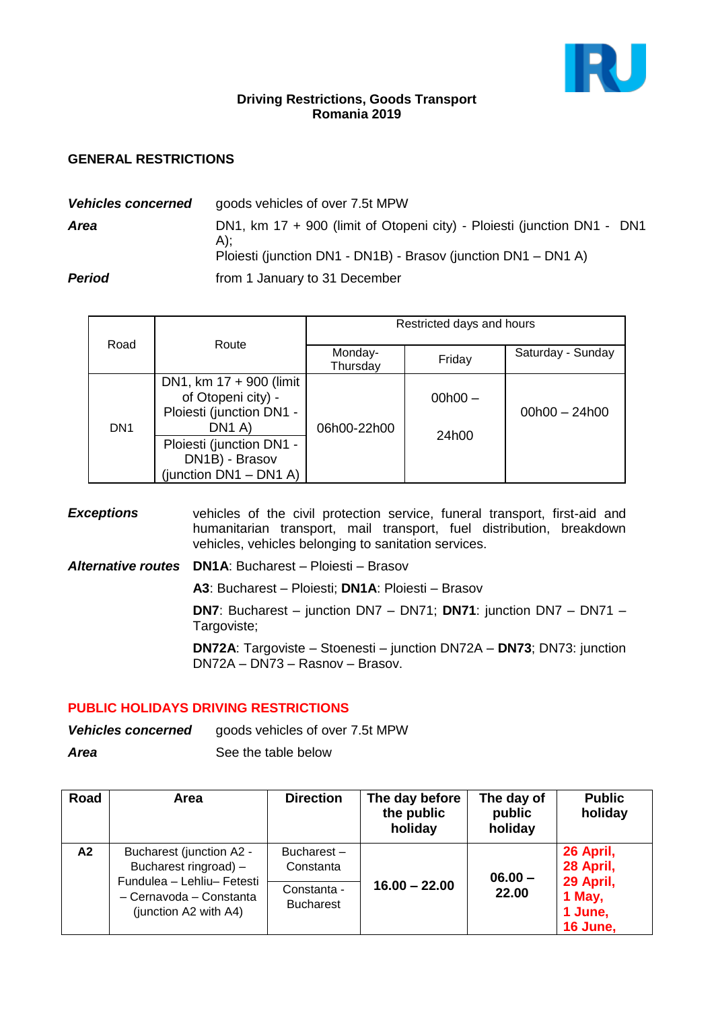

### **Driving Restrictions, Goods Transport Romania 2019**

## **GENERAL RESTRICTIONS**

| <b>Vehicles concerned</b>                      | goods vehicles of over 7.5t MPW                                                                                                                    |  |
|------------------------------------------------|----------------------------------------------------------------------------------------------------------------------------------------------------|--|
| Area                                           | DN1, km 17 + 900 (limit of Otopeni city) - Ploiesti (junction DN1 - DN1<br>$A$ :<br>Ploiesti (junction DN1 - DN1B) - Brasov (junction DN1 - DN1 A) |  |
| <b>Period</b><br>from 1 January to 31 December |                                                                                                                                                    |  |

|                 |                                                                                                                                                                                           | Restricted days and hours |                    |                   |  |
|-----------------|-------------------------------------------------------------------------------------------------------------------------------------------------------------------------------------------|---------------------------|--------------------|-------------------|--|
| Road            | Route                                                                                                                                                                                     | Monday-<br>Thursday       | Friday             | Saturday - Sunday |  |
| DN <sub>1</sub> | DN1, km $17 + 900$ (limit<br>of Otopeni city) -<br>Ploiesti (junction DN1 -<br>DN <sub>1</sub> A)<br>Ploiesti (junction DN1 -<br>DN <sub>1</sub> B) - Brasov<br>(junction $DN1 - DN1 A$ ) | 06h00-22h00               | $00h00 -$<br>24h00 | $00h00 - 24h00$   |  |

**Exceptions** vehicles of the civil protection service, funeral transport, first-aid and humanitarian transport, mail transport, fuel distribution, breakdown vehicles, vehicles belonging to sanitation services.

*Alternative routes* **DN1A**: Bucharest – Ploiesti – Brasov

**A3**: Bucharest – Ploiesti; **DN1A**: Ploiesti – Brasov

**DN7**: Bucharest – junction DN7 – DN71; **DN71**: junction DN7 – DN71 – Targoviste;

**DN72A**: Targoviste – Stoenesti – junction DN72A – **DN73**; DN73: junction DN72A – DN73 – Rasnov – Brasov.

#### **PUBLIC HOLIDAYS DRIVING RESTRICTIONS**

**Vehicles concerned** goods vehicles of over 7.5t MPW

*Area* See the table below

| Road | Area                                                                           | <b>Direction</b>                | The day before<br>the public<br>holiday | The day of<br>public<br>holiday | <b>Public</b><br>holiday                   |
|------|--------------------------------------------------------------------------------|---------------------------------|-----------------------------------------|---------------------------------|--------------------------------------------|
| A2   | Bucharest (junction A2 -<br>Bucharest ringroad) -                              | Bucharest-<br>Constanta         |                                         | $06.00 -$                       | 26 April,<br>28 April,                     |
|      | Fundulea - Lehliu- Fetesti<br>- Cernavoda - Constanta<br>(junction A2 with A4) | Constanta -<br><b>Bucharest</b> | $16.00 - 22.00$                         | 22.00                           | 29 April,<br>1 May,<br>1 June,<br>16 June, |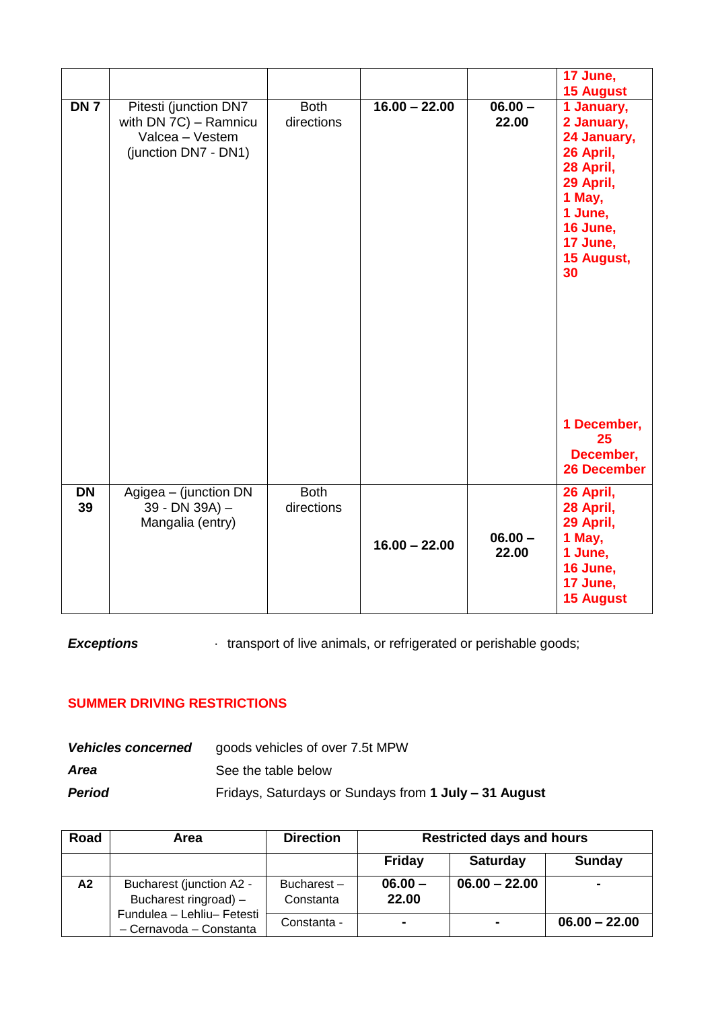|                 |                                                                                           |                           |                 |                    | 17 June,<br><b>15 August</b>                                                                                                                    |
|-----------------|-------------------------------------------------------------------------------------------|---------------------------|-----------------|--------------------|-------------------------------------------------------------------------------------------------------------------------------------------------|
| DN 7            | Pitesti (junction DN7<br>with DN 7C) - Ramnicu<br>Valcea - Vestem<br>(junction DN7 - DN1) | <b>Both</b><br>directions | $16.00 - 22.00$ | $06.00 -$<br>22.00 | 1 January,<br>2 January,<br>24 January,<br>26 April,<br>28 April,<br>29 April,<br>1 May,<br>1 June,<br>16 June,<br>17 June,<br>15 August,<br>30 |
|                 |                                                                                           |                           |                 |                    | 1 December,<br>25<br>December,<br><b>26 December</b>                                                                                            |
| <b>DN</b><br>39 | Agigea - (junction DN<br>39 - DN 39A) -<br>Mangalia (entry)                               | <b>Both</b><br>directions | $16.00 - 22.00$ | $06.00 -$<br>22.00 | 26 April,<br>28 April,<br>29 April,<br>1 May,<br>1 June,<br>16 June,<br>17 June,<br><b>15 August</b>                                            |

# **Exceptions** • transport of live animals, or refrigerated or perishable goods;

## **SUMMER DRIVING RESTRICTIONS**

| <b>Vehicles concerned</b> | goods vehicles of over 7.5t MPW                       |
|---------------------------|-------------------------------------------------------|
| Area                      | See the table below                                   |
| Period                    | Fridays, Saturdays or Sundays from 1 July - 31 August |

| Road | Area                                                  | <b>Direction</b>        | <b>Restricted days and hours</b> |                 |                 |
|------|-------------------------------------------------------|-------------------------|----------------------------------|-----------------|-----------------|
|      |                                                       |                         | Friday                           | <b>Saturday</b> | <b>Sunday</b>   |
| A2   | Bucharest (junction A2 -<br>Bucharest ringroad) -     | Bucharest-<br>Constanta | $06.00 -$<br>22.00               | $06.00 - 22.00$ | $\blacksquare$  |
|      | Fundulea - Lehliu- Fetesti<br>- Cernavoda - Constanta | Constanta -             | $\blacksquare$                   | $\sim$          | $06.00 - 22.00$ |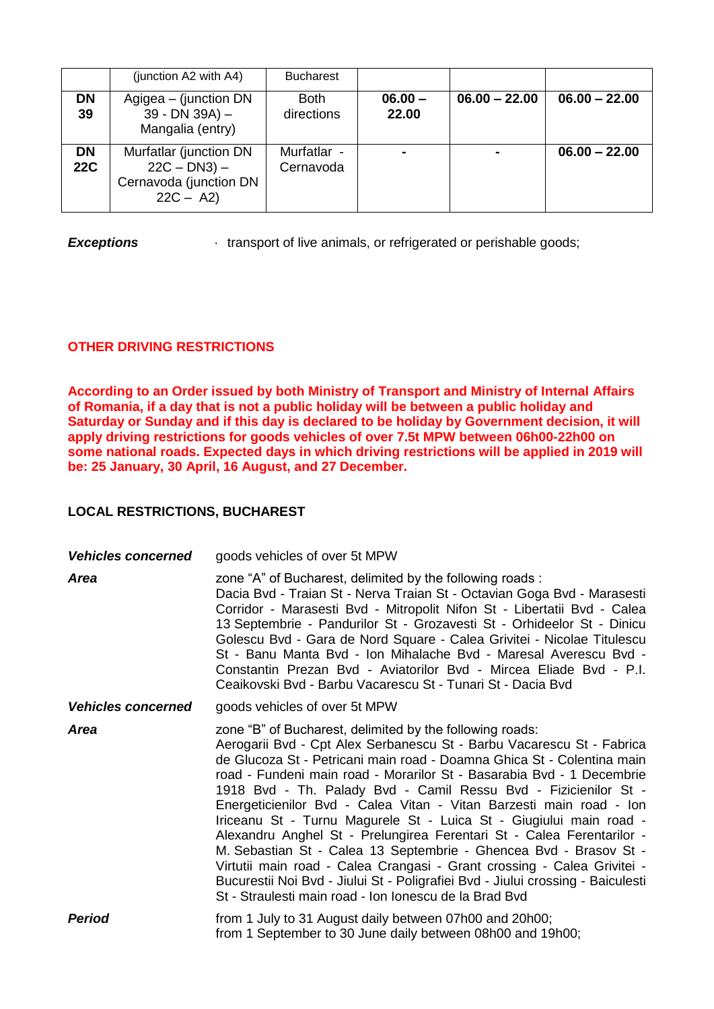|                         | (junction A2 with $A4$ )                                                          | <b>Bucharest</b>          |                    |                 |                 |
|-------------------------|-----------------------------------------------------------------------------------|---------------------------|--------------------|-----------------|-----------------|
| <b>DN</b><br>39         | Agigea – (junction DN<br>$39 - DN 39A$ ) –<br>Mangalia (entry)                    | <b>Both</b><br>directions | $06.00 -$<br>22.00 | $06.00 - 22.00$ | $06.00 - 22.00$ |
| <b>DN</b><br><b>22C</b> | Murfatlar (junction DN<br>$22C - DN3$ ) –<br>Cernavoda (junction DN<br>$22C - A2$ | Murfatlar -<br>Cernavoda  |                    |                 | $06.00 - 22.00$ |

**Exceptions · transport of live animals, or refrigerated or perishable goods;** 

## **OTHER DRIVING RESTRICTIONS**

**According to an Order issued by both Ministry of Transport and Ministry of Internal Affairs of Romania, if a day that is not a public holiday will be between a public holiday and Saturday or Sunday and if this day is declared to be holiday by Government decision, it will apply driving restrictions for goods vehicles of over 7.5t MPW between 06h00-22h00 on some national roads. Expected days in which driving restrictions will be applied in 2019 will be: 25 January, 30 April, 16 August, and 27 December.** 

## **LOCAL RESTRICTIONS, BUCHAREST**

| <b>Vehicles concerned</b> | goods vehicles of over 5t MPW                                                                                                                                                                                                                                                                                                                                                                                                                                                                                                                                                                                                                                                                                                                                                                                                                                              |
|---------------------------|----------------------------------------------------------------------------------------------------------------------------------------------------------------------------------------------------------------------------------------------------------------------------------------------------------------------------------------------------------------------------------------------------------------------------------------------------------------------------------------------------------------------------------------------------------------------------------------------------------------------------------------------------------------------------------------------------------------------------------------------------------------------------------------------------------------------------------------------------------------------------|
| Area                      | zone "A" of Bucharest, delimited by the following roads:<br>Dacia Bvd - Traian St - Nerva Traian St - Octavian Goga Bvd - Marasesti<br>Corridor - Marasesti Bvd - Mitropolit Nifon St - Libertatii Bvd - Calea<br>13 Septembrie - Pandurilor St - Grozavesti St - Orhideelor St - Dinicu<br>Golescu Bvd - Gara de Nord Square - Calea Grivitei - Nicolae Titulescu<br>St - Banu Manta Bvd - Ion Mihalache Bvd - Maresal Averescu Bvd -<br>Constantin Prezan Bvd - Aviatorilor Bvd - Mircea Eliade Bvd - P.I.<br>Ceaikovski Bvd - Barbu Vacarescu St - Tunari St - Dacia Bvd                                                                                                                                                                                                                                                                                                |
| <b>Vehicles concerned</b> | goods vehicles of over 5t MPW                                                                                                                                                                                                                                                                                                                                                                                                                                                                                                                                                                                                                                                                                                                                                                                                                                              |
| Area                      | zone "B" of Bucharest, delimited by the following roads:<br>Aerogarii Bvd - Cpt Alex Serbanescu St - Barbu Vacarescu St - Fabrica<br>de Glucoza St - Petricani main road - Doamna Ghica St - Colentina main<br>road - Fundeni main road - Morarilor St - Basarabia Bvd - 1 Decembrie<br>1918 Bvd - Th. Palady Bvd - Camil Ressu Bvd - Fizicienilor St -<br>Energeticienilor Bvd - Calea Vitan - Vitan Barzesti main road - Ion<br>Iriceanu St - Turnu Magurele St - Luica St - Giugiului main road -<br>Alexandru Anghel St - Prelungirea Ferentari St - Calea Ferentarilor -<br>M. Sebastian St - Calea 13 Septembrie - Ghencea Bvd - Brasov St -<br>Virtutii main road - Calea Crangasi - Grant crossing - Calea Grivitei -<br>Bucurestii Noi Bvd - Jiului St - Poligrafiei Bvd - Jiului crossing - Baiculesti<br>St - Straulesti main road - Ion Ionescu de la Brad Bvd |
| <b>Period</b>             | from 1 July to 31 August daily between 07h00 and 20h00;<br>from 1 September to 30 June daily between 08h00 and 19h00;                                                                                                                                                                                                                                                                                                                                                                                                                                                                                                                                                                                                                                                                                                                                                      |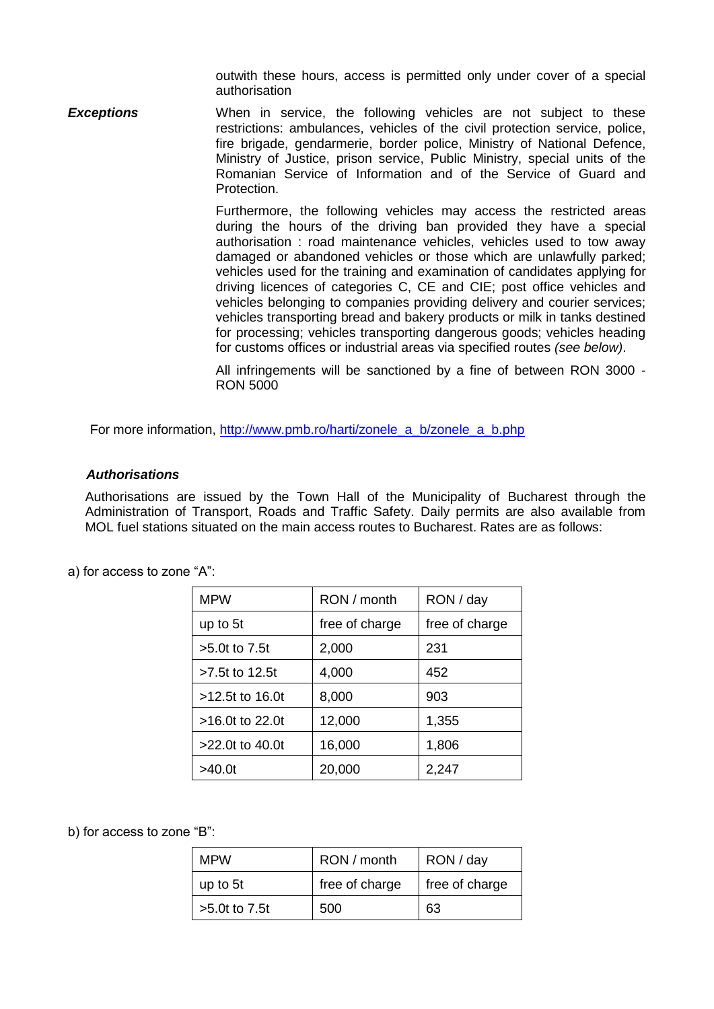outwith these hours, access is permitted only under cover of a special authorisation

**Exceptions** When in service, the following vehicles are not subject to these restrictions: ambulances, vehicles of the civil protection service, police, fire brigade, gendarmerie, border police, Ministry of National Defence, Ministry of Justice, prison service, Public Ministry, special units of the Romanian Service of Information and of the Service of Guard and Protection.

> Furthermore, the following vehicles may access the restricted areas during the hours of the driving ban provided they have a special authorisation : road maintenance vehicles, vehicles used to tow away damaged or abandoned vehicles or those which are unlawfully parked; vehicles used for the training and examination of candidates applying for driving licences of categories C, CE and CIE; post office vehicles and vehicles belonging to companies providing delivery and courier services; vehicles transporting bread and bakery products or milk in tanks destined for processing; vehicles transporting dangerous goods; vehicles heading for customs offices or industrial areas via specified routes *(see below)*.

> All infringements will be sanctioned by a fine of between RON 3000 - RON 5000

For more information, [http://www.pmb.ro/harti/zonele\\_a\\_b/zonele\\_a\\_b.php](http://www.pmb.ro/harti/zonele_a_b/zonele_a_b.php)

### *Authorisations*

Authorisations are issued by the Town Hall of the Municipality of Bucharest through the Administration of Transport, Roads and Traffic Safety. Daily permits are also available from MOL fuel stations situated on the main access routes to Bucharest. Rates are as follows:

| <b>MPW</b>         | RON / month    | RON / day      |
|--------------------|----------------|----------------|
| up to 5t           | free of charge | free of charge |
| $>5.0$ t to $7.5t$ | 2,000          | 231            |
| >7.5t to 12.5t     | 4,000          | 452            |
| $>12.5t$ to 16.0t  | 8,000          | 903            |
| >16.0t to 22.0t    | 12,000         | 1,355          |
| $>22.0t$ to 40.0t  | 16,000         | 1,806          |
| >40.0t             | 20,000         | 2,247          |

a) for access to zone "A":

b) for access to zone "B":

| <b>MPW</b>        | RON / month    | RON / day      |
|-------------------|----------------|----------------|
| up to 5t          | free of charge | free of charge |
| $>5.0t$ to $7.5t$ | 500            | 63             |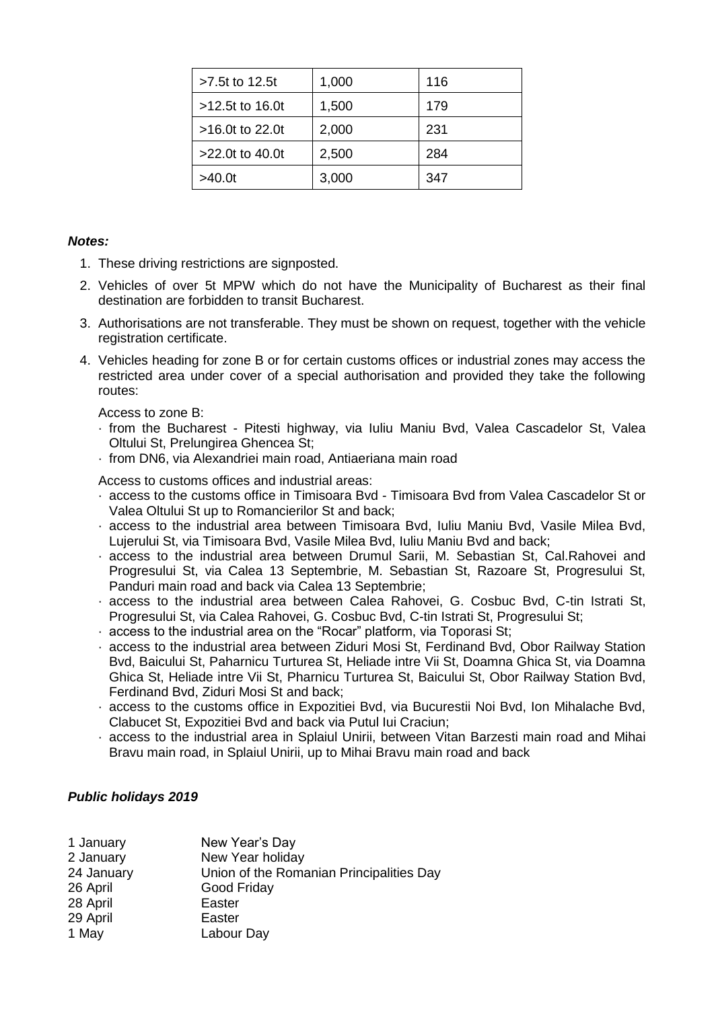| >7.5t to 12.5t    | 1,000 | 116 |
|-------------------|-------|-----|
| $>12.5t$ to 16.0t | 1,500 | 179 |
| $>16.0t$ to 22.0t | 2,000 | 231 |
| $>22.0t$ to 40.0t | 2,500 | 284 |
| >40.0t            | 3,000 | 347 |

## *Notes:*

- 1. These driving restrictions are signposted.
- 2. Vehicles of over 5t MPW which do not have the Municipality of Bucharest as their final destination are forbidden to transit Bucharest.
- 3. Authorisations are not transferable. They must be shown on request, together with the vehicle registration certificate.
- 4. Vehicles heading for zone B or for certain customs offices or industrial zones may access the restricted area under cover of a special authorisation and provided they take the following routes:

Access to zone B:

- · from the Bucharest Pitesti highway, via Iuliu Maniu Bvd, Valea Cascadelor St, Valea Oltului St, Prelungirea Ghencea St;
- · from DN6, via Alexandriei main road, Antiaeriana main road

Access to customs offices and industrial areas:

- · access to the customs office in Timisoara Bvd Timisoara Bvd from Valea Cascadelor St or Valea Oltului St up to Romancierilor St and back;
- · access to the industrial area between Timisoara Bvd, Iuliu Maniu Bvd, Vasile Milea Bvd, Lujerului St, via Timisoara Bvd, Vasile Milea Bvd, Iuliu Maniu Bvd and back;
- · access to the industrial area between Drumul Sarii, M. Sebastian St, Cal.Rahovei and Progresului St, via Calea 13 Septembrie, M. Sebastian St, Razoare St, Progresului St, Panduri main road and back via Calea 13 Septembrie;
- · access to the industrial area between Calea Rahovei, G. Cosbuc Bvd, C-tin Istrati St, Progresului St, via Calea Rahovei, G. Cosbuc Bvd, C-tin Istrati St, Progresului St;
- · access to the industrial area on the "Rocar" platform, via Toporasi St;
- · access to the industrial area between Ziduri Mosi St, Ferdinand Bvd, Obor Railway Station Bvd, Baicului St, Paharnicu Turturea St, Heliade intre Vii St, Doamna Ghica St, via Doamna Ghica St, Heliade intre Vii St, Pharnicu Turturea St, Baicului St, Obor Railway Station Bvd, Ferdinand Bvd, Ziduri Mosi St and back;
- · access to the customs office in Expozitiei Bvd, via Bucurestii Noi Bvd, Ion Mihalache Bvd, Clabucet St, Expozitiei Bvd and back via Putul Iui Craciun;
- access to the industrial area in Splaiul Unirii, between Vitan Barzesti main road and Mihai Bravu main road, in Splaiul Unirii, up to Mihai Bravu main road and back

## *Public holidays 2019*

| 1 January  | New Year's Day                           |
|------------|------------------------------------------|
| 2 January  | New Year holiday                         |
| 24 January | Union of the Romanian Principalities Day |
| 26 April   | Good Friday                              |
| 28 April   | Easter                                   |
| 29 April   | Easter                                   |
| 1 May      | Labour Day                               |
|            |                                          |